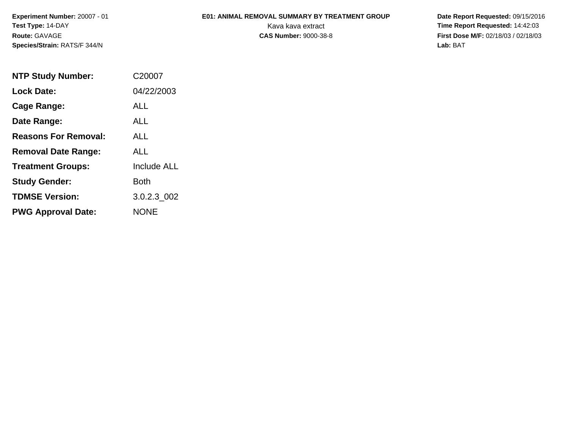**Experiment Number:** 20007 - 01**Test Type:** 14-DAY**Route:** GAVAGE**Species/Strain:** RATS/F 344/N

## **E01: ANIMAL REMOVAL SUMMARY BY TREATMENT GROUP**

 **Date Report Requested:** 09/15/2016 Kava kava extract **Time Report Requested:** 14:42:03<br>**CAS Number:** 9000-38-8 **Time Report Requested:** 14:42:03 **First Dose M/F:** 02/18/03 / 02/18/03<br>Lab: BAT **Lab:** BAT

| <b>NTP Study Number:</b>    | C20007             |
|-----------------------------|--------------------|
| <b>Lock Date:</b>           | 04/22/2003         |
| Cage Range:                 | ALL                |
| Date Range:                 | AI I               |
| <b>Reasons For Removal:</b> | ALL.               |
| <b>Removal Date Range:</b>  | ALL                |
| <b>Treatment Groups:</b>    | <b>Include ALL</b> |
| <b>Study Gender:</b>        | Both               |
| <b>TDMSE Version:</b>       | 3.0.2.3 002        |
| <b>PWG Approval Date:</b>   | <b>NONE</b>        |